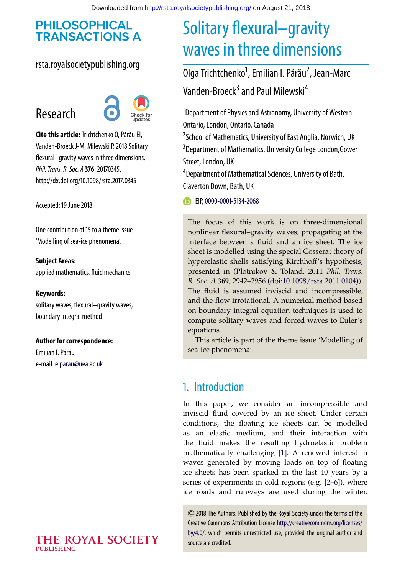# **PHILOSOPHICAL TRANSACTIONS A**

## rsta.royalsocietypublishing.org

# Research



**Cite this article:**Trichtchenko O, Părău EI, Vanden-Broeck J-M, Milewski P. 2018 Solitary flexural–gravity waves in three dimensions. *Phil. Trans. R. Soc. A* **376**: 20170345. http://dx.doi.org/10.1098/rsta.2017.0345

Accepted: 19 June 2018

One contribution of 15 to a theme issue ['Modelling of sea-ice phenomena'.](http://dx.doi.org/10.1098/rsta/376/2129)

**Subject Areas:** applied mathematics, fluid mechanics

### **Keywords:**

solitary waves, flexural–gravity waves, boundary integral method

#### **Author for correspondence:**

Emilian I. Părău e-mail:[e.parau@uea.ac.uk](mailto:e.parau@uea.ac.uk)

## THE ROYAL SOCIETY **PUBLISHING**

# Solitary flexural–gravity waves in three dimensions

Olga Trichtchenko<sup>1</sup>, Emilian I. Părău<sup>2</sup>, Jean-Marc Vanden-Broeck<sup>3</sup> and Paul Milewski<sup>4</sup>

<sup>1</sup>Department of Physics and Astronomy, University of Western Ontario, London, Ontario, Canada <sup>2</sup> School of Mathematics, University of East Anglia, Norwich, UK 3 Department of Mathematics, University College London,Gower Street, London, UK 4 Department of Mathematical Sciences, University of Bath, Claverton Down, Bath, UK

EIP, [0000-0001-5134-2068](http://orcid.org/0000-0001-5134-2068)

The focus of this work is on three-dimensional nonlinear flexural–gravity waves, propagating at the interface between a fluid and an ice sheet. The ice sheet is modelled using the special Cosserat theory of hyperelastic shells satisfying Kirchhoff's hypothesis, presented in (Plotnikov & Toland. 2011 *Phil. Trans. R. Soc. A* **369**, 2942–2956 [\(doi:10.1098/rsta.2011.0104\)](http://dx.doi.org/doi:10.1098/rsta.2011.0104)). The fluid is assumed inviscid and incompressible, and the flow irrotational. A numerical method based on boundary integral equation techniques is used to compute solitary waves and forced waves to Euler's equations.

This article is part of the theme issue 'Modelling of sea-ice phenomena'.

# 1. Introduction

In this paper, we consider an incompressible and inviscid fluid covered by an ice sheet. Under certain conditions, the floating ice sheets can be modelled as an elastic medium, and their interaction with the fluid makes the resulting hydroelastic problem mathematically challenging [\[1\]](#page-11-0). A renewed interest in waves generated by moving loads on top of floating ice sheets has been sparked in the last 40 years by a series of experiments in cold regions (e.g. [\[2–](#page-11-1)[6\]](#page-12-0)), where ice roads and runways are used during the winter.

2018 The Authors. Published by the Royal Society under the terms of the Creative Commons Attribution License [http://creativecommons.org/licenses/](http://creativecommons.org/licenses/by/4.0/) [by/4.0/,](http://creativecommons.org/licenses/by/4.0/) which permits unrestricted use, provided the original author and source are credited.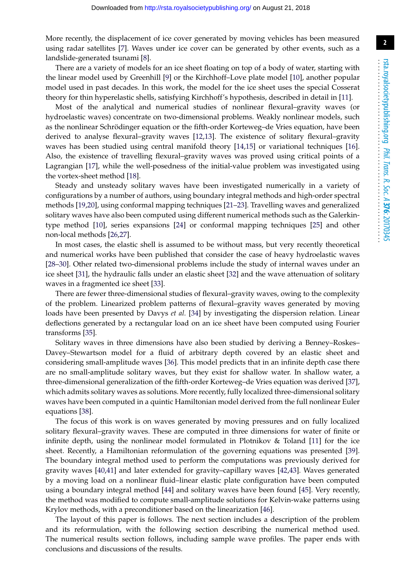More recently, the displacement of ice cover generated by moving vehicles has been measured using radar satellites [\[7\]](#page-12-1). Waves under ice cover can be generated by other events, such as a landslide-generated tsunami [\[8\]](#page-12-2).

There are a variety of models for an ice sheet floating on top of a body of water, starting with the linear model used by Greenhill [\[9\]](#page-12-3) or the Kirchhoff–Love plate model [\[10\]](#page-12-4), another popular model used in past decades. In this work, the model for the ice sheet uses the special Cosserat theory for thin hyperelastic shells, satisfying Kirchhoff's hypothesis, described in detail in [\[11\]](#page-12-5).

Most of the analytical and numerical studies of nonlinear flexural–gravity waves (or hydroelastic waves) concentrate on two-dimensional problems. Weakly nonlinear models, such as the nonlinear Schrödinger equation or the fifth-order Korteweg–de Vries equation, have been derived to analyse flexural–gravity waves [\[12](#page-12-6)[,13\]](#page-12-7). The existence of solitary flexural–gravity waves has been studied using central manifold theory [\[14](#page-12-8)[,15\]](#page-12-9) or variational techniques [\[16\]](#page-12-10). Also, the existence of travelling flexural–gravity waves was proved using critical points of a Lagrangian [\[17\]](#page-12-11), while the well-posedness of the initial-value problem was investigated using the vortex-sheet method [\[18\]](#page-12-12).

Steady and unsteady solitary waves have been investigated numerically in a variety of configurations by a number of authors, using boundary integral methods and high-order spectral methods [\[19](#page-12-13)[,20\]](#page-12-14), using conformal mapping techniques [\[21](#page-12-15)[–23\]](#page-12-16). Travelling waves and generalized solitary waves have also been computed using different numerical methods such as the Galerkintype method [\[10\]](#page-12-4), series expansions [\[24\]](#page-12-17) or conformal mapping techniques [\[25\]](#page-12-18) and other non-local methods [\[26](#page-12-19)[,27\]](#page-12-20).

In most cases, the elastic shell is assumed to be without mass, but very recently theoretical and numerical works have been published that consider the case of heavy hydroelastic waves [\[28](#page-12-21)[–30\]](#page-13-0). Other related two-dimensional problems include the study of internal waves under an ice sheet [\[31\]](#page-13-1), the hydraulic falls under an elastic sheet [\[32\]](#page-13-2) and the wave attenuation of solitary waves in a fragmented ice sheet [\[33\]](#page-13-3).

There are fewer three-dimensional studies of flexural–gravity waves, owing to the complexity of the problem. Linearized problem patterns of flexural–gravity waves generated by moving loads have been presented by Davys *et al.* [\[34\]](#page-13-4) by investigating the dispersion relation. Linear deflections generated by a rectangular load on an ice sheet have been computed using Fourier transforms [\[35\]](#page-13-5).

Solitary waves in three dimensions have also been studied by deriving a Benney–Roskes– Davey–Stewartson model for a fluid of arbitrary depth covered by an elastic sheet and considering small-amplitude waves [\[36\]](#page-13-6). This model predicts that in an infinite depth case there are no small-amplitude solitary waves, but they exist for shallow water. In shallow water, a three-dimensional generalization of the fifth-order Korteweg–de Vries equation was derived [\[37\]](#page-13-7), which admits solitary waves as solutions. More recently, fully localized three-dimensional solitary waves have been computed in a quintic Hamiltonian model derived from the full nonlinear Euler equations [\[38\]](#page-13-8).

The focus of this work is on waves generated by moving pressures and on fully localized solitary flexural–gravity waves. These are computed in three dimensions for water of finite or infinite depth, using the nonlinear model formulated in Plotnikov & Toland [\[11\]](#page-12-5) for the ice sheet. Recently, a Hamiltonian reformulation of the governing equations was presented [\[39\]](#page-13-9). The boundary integral method used to perform the computations was previously derived for gravity waves [\[40,](#page-13-10)[41\]](#page-13-11) and later extended for gravity–capillary waves [\[42](#page-13-12)[,43\]](#page-13-13). Waves generated by a moving load on a nonlinear fluid–linear elastic plate configuration have been computed using a boundary integral method [\[44\]](#page-13-14) and solitary waves have been found [\[45\]](#page-13-15). Very recently, the method was modified to compute small-amplitude solutions for Kelvin-wake patterns using Krylov methods, with a preconditioner based on the linearization [\[46\]](#page-13-16).

The layout of this paper is follows. The next section includes a description of the problem and its reformulation, with the following section describing the numerical method used. The numerical results section follows, including sample wave profiles. The paper ends with conclusions and discussions of the results.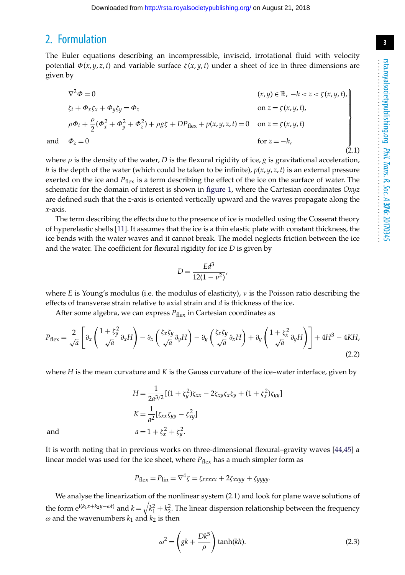# 2. Formulation

The Euler equations describing an incompressible, inviscid, irrotational fluid with velocity potential  $\Phi(x, y, z, t)$  and variable surface  $\zeta(x, y, t)$  under a sheet of ice in three dimensions are given by

$$
\nabla^{2} \Phi = 0 \qquad (x, y) \in \mathbb{R}, -h < z < \zeta(x, y, t),
$$
  
\n
$$
\zeta_{t} + \Phi_{x} \zeta_{x} + \Phi_{y} \zeta_{y} = \Phi_{z} \qquad \text{on } z = \zeta(x, y, t),
$$
  
\n
$$
\rho \Phi_{t} + \frac{\rho}{2} (\Phi_{x}^{2} + \Phi_{y}^{2} + \Phi_{z}^{2}) + \rho g \zeta + DP_{\text{flex}} + p(x, y, z, t) = 0 \qquad \text{on } z = \zeta(x, y, t)
$$
  
\nand 
$$
\Phi_{z} = 0 \qquad \text{for } z = -h,
$$
  
\n(2.1)

where  $\rho$  is the density of the water, *D* is the flexural rigidity of ice, *g* is gravitational acceleration, *h* is the depth of the water (which could be taken to be infinite),  $p(x, y, z, t)$  is an external pressure exerted on the ice and *P*<sub>flex</sub> is a term describing the effect of the ice on the surface of water. The schematic for the domain of interest is shown in [figure 1,](#page-3-0) where the Cartesian coordinates *Oxyz* are defined such that the *z*-axis is oriented vertically upward and the waves propagate along the *x*-axis.

The term describing the effects due to the presence of ice is modelled using the Cosserat theory of hyperelastic shells [\[11\]](#page-12-5). It assumes that the ice is a thin elastic plate with constant thickness, the ice bends with the water waves and it cannot break. The model neglects friction between the ice and the water. The coefficient for flexural rigidity for ice *D* is given by

$$
D = \frac{Ed^3}{12(1 - \nu^2)}
$$

where *E* is Young's modulus (i.e. the modulus of elasticity),  $\nu$  is the Poisson ratio describing the effects of transverse strain relative to axial strain and *d* is thickness of the ice.

After some algebra, we can express  $P_{\text{flex}}$  in Cartesian coordinates as

$$
P_{\text{flex}} = \frac{2}{\sqrt{a}} \left[ \partial_x \left( \frac{1 + \zeta_y^2}{\sqrt{a}} \partial_x H \right) - \partial_x \left( \frac{\zeta_x \zeta_y}{\sqrt{a}} \partial_y H \right) - \partial_y \left( \frac{\zeta_x \zeta_y}{\sqrt{a}} \partial_x H \right) + \partial_y \left( \frac{1 + \zeta_x^2}{\sqrt{a}} \partial_y H \right) \right] + 4H^3 - 4KH, \tag{2.2}
$$

where *H* is the mean curvature and *K* is the Gauss curvature of the ice–water interface, given by

$$
H = \frac{1}{2a^{3/2}}[(1 + \zeta_y^2)\zeta_{xx} - 2\zeta_{xy}\zeta_x\zeta_y + (1 + \zeta_x^2)\zeta_{yy}]
$$
  
\n
$$
K = \frac{1}{a^2}[\zeta_{xx}\zeta_{yy} - \zeta_{xy}^2]
$$
  
\nand  
\n
$$
a = 1 + \zeta_x^2 + \zeta_y^2.
$$

It is worth noting that in previous works on three-dimensional flexural–gravity waves [\[44,](#page-13-14)[45\]](#page-13-15) a linear model was used for the ice sheet, where  $P_{\text{flex}}$  has a much simpler form as

$$
P_{\text{flex}} = P_{\text{lin}} = \nabla^4 \zeta = \zeta_{xxxxx} + 2\zeta_{xxyy} + \zeta_{yyyy}.
$$

We analyse the linearization of the nonlinear system (2.1) and look for plane wave solutions of the form  $e^{i(k_1x+k_2y-\omega t)}$  and  $k=\sqrt{k_1^2+k_2^2}$ . The linear dispersion relationship between the frequency  $\omega$  and the wavenumbers  $k_1$  and  $k_2$  is then

$$
\omega^2 = \left( gk + \frac{Dk^5}{\rho} \right) \tanh(kh). \tag{2.3}
$$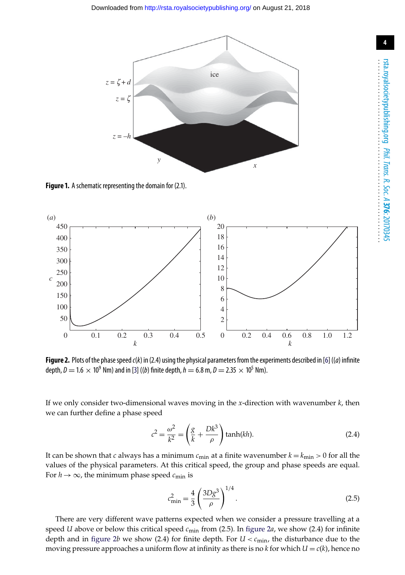

<span id="page-3-0"></span>**Figure 1.** A schematic representing the domain for (2.1).



<span id="page-3-1"></span>Figure 2. Plots of the phase speed *c*(*k*) in (2.4) using the physical parameters from the experiments described in [\[6\]](#page-12-0) ((*a*) infinite depth,  $D = 1.6 \times 10^9$  Nm) and in [\[3\]](#page-12-22) ((*b*) finite depth,  $h = 6.8$  m,  $D = 2.35 \times 10^5$  Nm).

If we only consider two-dimensional waves moving in the *x*-direction with wavenumber *k*, then we can further define a phase speed

$$
c^2 = \frac{\omega^2}{k^2} = \left(\frac{g}{k} + \frac{Dk^3}{\rho}\right) \tanh(kh).
$$
 (2.4)

It can be shown that *c* always has a minimum  $c_{\min}$  at a finite wavenumber  $k = k_{\min} > 0$  for all the values of the physical parameters. At this critical speed, the group and phase speeds are equal. For  $h \to \infty$ , the minimum phase speed  $c_{\min}$  is

$$
c_{\min}^2 = \frac{4}{3} \left( \frac{3Dg^3}{\rho} \right)^{1/4}.
$$
 (2.5)

There are very different wave patterns expected when we consider a pressure travelling at a speed *U* above or below this critical speed *c*min from (2.5). In [figure 2](#page-3-1)*a*, we show (2.4) for infinite depth and in [figure 2](#page-3-1)*b* we show (2.4) for finite depth. For  $U < c_{\text{min}}$ , the disturbance due to the moving pressure approaches a uniform flow at infinity as there is no  $k$  for which  $U = c(k)$ , hence no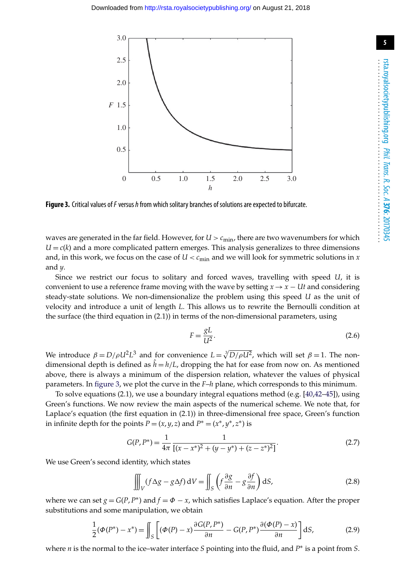

<span id="page-4-0"></span>**Figure 3.** Critical values of*F* versus*h*from which solitary branches of solutions are expected to bifurcate.

waves are generated in the far field. However, for  $U > c_{\text{min}}$ , there are two wavenumbers for which  $U = c(k)$  and a more complicated pattern emerges. This analysis generalizes to three dimensions and, in this work, we focus on the case of  $U < c_{\text{min}}$  and we will look for symmetric solutions in *x* and *y*.

Since we restrict our focus to solitary and forced waves, travelling with speed *U*, it is convenient to use a reference frame moving with the wave by setting  $x \rightarrow x - Ut$  and considering steady-state solutions. We non-dimensionalize the problem using this speed *U* as the unit of velocity and introduce a unit of length *L*. This allows us to rewrite the Bernoulli condition at the surface (the third equation in (2.1)) in terms of the non-dimensional parameters, using

$$
F = \frac{gL}{U^2}.
$$
\n<sup>(2.6)</sup>

We introduce  $\beta = D/\rho U^2 L^3$  and for convenience  $L = \sqrt[3]{D/\rho U^2}$ , which will set  $\beta = 1$ . The nondimensional depth is defined as  $h = h/L$ , dropping the hat for ease from now on. As mentioned above, there is always a minimum of the dispersion relation, whatever the values of physical parameters. In [figure 3,](#page-4-0) we plot the curve in the *F*–*h* plane, which corresponds to this minimum.

To solve equations (2.1), we use a boundary integral equations method (e.g. [\[40](#page-13-10)[,42–](#page-13-12)[45\]](#page-13-15)), using Green's functions. We now review the main aspects of the numerical scheme. We note that, for Laplace's equation (the first equation in (2.1)) in three-dimensional free space, Green's function in infinite depth for the points  $P = (x, y, z)$  and  $P^* = (x^*, y^*, z^*)$  is

$$
G(P, P^*) = \frac{1}{4\pi} \frac{1}{[(x - x^*)^2 + (y - y^*) + (z - z^*)^2]}.
$$
\n(2.7)

We use Green's second identity, which states

$$
\iiint_{V} (f \Delta g - g \Delta f) dV = \iint_{S} \left( f \frac{\partial g}{\partial n} - g \frac{\partial f}{\partial n} \right) dS,
$$
\n(2.8)

where we can set  $g = G(P, P^*)$  and  $f = \Phi - x$ , which satisfies Laplace's equation. After the proper substitutions and some manipulation, we obtain

$$
\frac{1}{2}(\Phi(P^*) - x^*) = \iint_S \left[ (\Phi(P) - x) \frac{\partial G(P, P^*)}{\partial n} - G(P, P^*) \frac{\partial (\Phi(P) - x)}{\partial n} \right] dS,\tag{2.9}
$$

where *n* is the normal to the ice–water interface *S* pointing into the fluid, and *P*∗ is a point from *S*.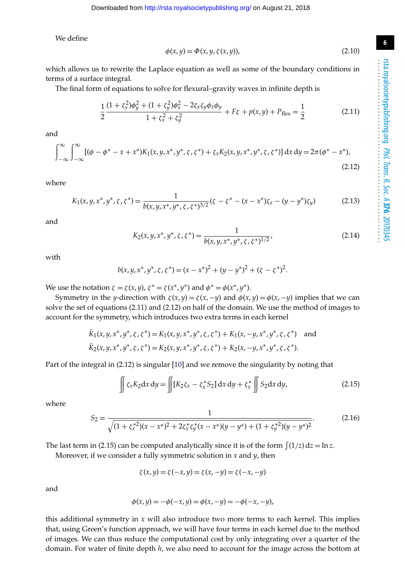**6**

We define

$$
\phi(x, y) = \Phi(x, y, \zeta(x, y)),\tag{2.10}
$$

which allows us to rewrite the Laplace equation as well as some of the boundary conditions in terms of a surface integral.

The final form of equations to solve for flexural–gravity waves in infinite depth is

$$
\frac{1}{2}\frac{(1+\zeta_x^2)\phi_y^2 + (1+\zeta_y^2)\phi_x^2 - 2\zeta_x\zeta_y\phi_x\phi_y}{1+\zeta_x^2+\zeta_y^2} + F\zeta + p(x,y) + P_{\text{flex}} = \frac{1}{2}
$$
(2.11)

and

$$
\int_{-\infty}^{\infty} \int_{-\infty}^{\infty} [(\phi - \phi^* - x + x^*) K_1(x, y, x^*, y^*, \zeta, \zeta^*) + \zeta_x K_2(x, y, x^*, y^*, \zeta, \zeta^*)] \, dx \, dy = 2\pi (\phi^* - x^*),
$$
\n(2.12)

where

$$
K_1(x, y, x^*, y^*, \zeta, \zeta^*) = \frac{1}{b(x, y, x^*, y^*, \zeta, \zeta^*)^{3/2}} (\zeta - \zeta^* - (x - x^*)\zeta_x - (y - y^*)\zeta_y)
$$
(2.13)

and

$$
K_2(x, y, x^*, y^*, \zeta, \zeta^*) = \frac{1}{b(x, y, x^*, y^*, \zeta, \zeta^*)^{1/2}},
$$
\n(2.14)

with

$$
b(x, y, x^*, y^*, \zeta, \zeta^*) = (x - x^*)^2 + (y - y^*)^2 + (\zeta - \zeta^*)^2.
$$

We use the notation  $\zeta = \zeta(x, y)$ ,  $\zeta^* = \zeta(x^*, y^*)$  and  $\phi^* = \phi(x^*, y^*)$ .

Symmetry in the *y*-direction with  $\zeta(x, y) = \zeta(x, -y)$  and  $\phi(x, y) = \phi(x, -y)$  implies that we can solve the set of equations (2.11) and (2.12) on half of the domain. We use the method of images to account for the symmetry, which introduces two extra terms in each kernel

$$
\bar{K}_1(x, y, x^*, y^*, \zeta, \zeta^*) = K_1(x, y, x^*, y^*, \zeta, \zeta^*) + K_1(x, -y, x^*, y^*, \zeta, \zeta^*) \text{ and } \n\bar{K}_2(x, y, x^*, y^*, \zeta, \zeta^*) = K_2(x, y, x^*, y^*, \zeta, \zeta^*) + K_2(x, -y, x^*, y^*, \zeta, \zeta^*).
$$

Part of the integral in (2.12) is singular [\[10\]](#page-12-4) and we remove the singularity by noting that

$$
\iint \zeta_x K_2 dx dy = \iint [K_2 \zeta_x - \zeta_x^* S_2] dx dy + \zeta_x^* \iint S_2 dx dy,
$$
\n(2.15)

where

$$
S_2 = \frac{1}{\sqrt{(1 + \zeta_x^{*2})(x - x^*)^2 + 2\zeta_x^{*}\zeta_y^{*}(x - x^*)(y - y^*) + (1 + \zeta_y^{*2})(y - y^*)^2}}.
$$
(2.16)

The last term in (2.15) can be computed analytically since it is of the form  $\int (1/z) dz = \ln z$ .

Moreover, if we consider a fully symmetric solution in  $x$  and  $y$ , then

$$
\zeta(x,y) = \zeta(-x,y) = \zeta(x,-y) = \zeta(-x,-y)
$$

and

$$
\phi(x, y) = -\phi(-x, y) = \phi(x, -y) = -\phi(-x, -y),
$$

this additional symmetry in *x* will also introduce two more terms to each kernel. This implies that, using Green's function approach, we will have four terms in each kernel due to the method of images. We can thus reduce the computational cost by only integrating over a quarter of the domain. For water of finite depth *h*, we also need to account for the image across the bottom at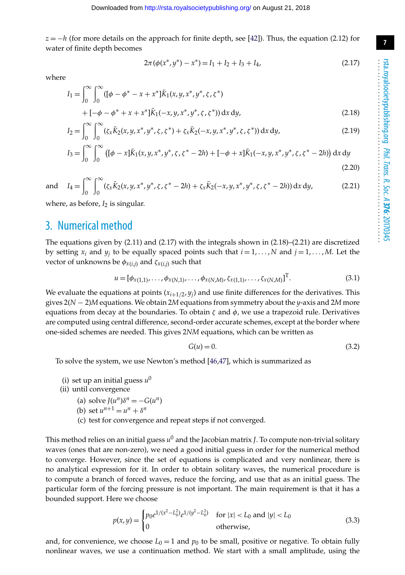**7**

 $z = -h$  (for more details on the approach for finite depth, see [\[42\]](#page-13-12)). Thus, the equation (2.12) for water of finite depth becomes

$$
2\pi(\phi(x^*,y^*) - x^*) = I_1 + I_2 + I_3 + I_4,\tag{2.17}
$$

where

$$
I_1 = \int_0^\infty \int_0^\infty ([\phi - \phi^* - x + x^*] \bar{K}_1(x, y, x^*, y^*, \zeta, \zeta^*)
$$
  
+  $[-\phi - \phi^* + x + x^*] \bar{K}_1(-x, y, x^*, y^*, \zeta, \zeta^*)) dx dy,$   
 $\int_0^\infty \int_0^\infty (x^2 + x^* + x^*) \bar{K}_1(-x, y, x^*, y^*, \zeta, \zeta^*)) dx dy,$  (2.18)

$$
I_2 = \int_0^\infty \int_0^\infty (\zeta_x \bar{K}_2(x, y, x^*, y^*, \zeta, \zeta^*) + \zeta_x \bar{K}_2(-x, y, x^*, y^*, \zeta, \zeta^*)) \, dx \, dy,\tag{2.19}
$$

$$
I_3 = \int_0^\infty \int_0^\infty \left( [\phi - x] \bar{K}_1(x, y, x^*, y^*, \zeta, \zeta^* - 2h) + [-\phi + x] \bar{K}_1(-x, y, x^*, y^*, \zeta, \zeta^* - 2h) \right) dx dy
$$
\n(2.20)

and  $I_4 = \int_0^\infty$  $\theta$  $\int^{\infty}$  $\left( \zeta_x K_2(x, y, x^*, y^*, \zeta, \zeta^* - 2h) + \zeta_x K_2(-x, y, x^*, y^*, \zeta, \zeta^* - 2h) \right) dx dy,$  (2.21)

where, as before,  $I_2$  is singular.

# 3. Numerical method

The equations given by (2.11) and (2.17) with the integrals shown in (2.18)–(2.21) are discretized by setting  $x_i$  and  $y_j$  to be equally spaced points such that  $i = 1, \ldots, N$  and  $j = 1, \ldots, M$ . Let the vector of unknowns be  $\phi_{x(i,j)}$  and  $\zeta_{x(i,j)}$  such that

$$
u = [\phi_{x(1,1)}, \dots, \phi_{x(N,1)}, \dots, \phi_{x(N,M)}, \zeta_{x(1,1)}, \dots, \zeta_{x(N,M)}]^{\mathrm{T}}.
$$
\n(3.1)

We evaluate the equations at points  $(x_{i+1/2}, y_i)$  and use finite differences for the derivatives. This gives 2(*N* − 2)*M* equations. We obtain 2*M* equations from symmetry about the *y*-axis and 2*M* more equations from decay at the boundaries. To obtain  $\zeta$  and  $\phi$ , we use a trapezoid rule. Derivatives are computed using central difference, second-order accurate schemes, except at the border where one-sided schemes are needed. This gives 2*NM* equations, which can be written as

$$
G(u) = 0.\t\t(3.2)
$$

To solve the system, we use Newton's method [\[46,](#page-13-16)[47\]](#page-13-17), which is summarized as

- (i) set up an initial guess  $u^0$
- (ii) until convergence
	- (a) solve  $J(u^n)\delta^n = -G(u^n)$
	- (b) set  $u^{n+1} = u^n + \delta^n$
	- (c) test for convergence and repeat steps if not converged.

This method relies on an initial guess *u*<sup>0</sup> and the Jacobian matrix *J*. To compute non-trivial solitary waves (ones that are non-zero), we need a good initial guess in order for the numerical method to converge. However, since the set of equations is complicated and very nonlinear, there is no analytical expression for it. In order to obtain solitary waves, the numerical procedure is to compute a branch of forced waves, reduce the forcing, and use that as an initial guess. The particular form of the forcing pressure is not important. The main requirement is that it has a bounded support. Here we choose

$$
p(x,y) = \begin{cases} p_0 e^{1/(x^2 - L_0^2)} e^{1/(y^2 - L_0^2)} & \text{for } |x| < L_0 \text{ and } |y| < L_0 \\ 0 & \text{otherwise,} \end{cases}
$$
(3.3)

and, for convenience, we choose  $L_0 = 1$  and  $p_0$  to be small, positive or negative. To obtain fully nonlinear waves, we use a continuation method. We start with a small amplitude, using the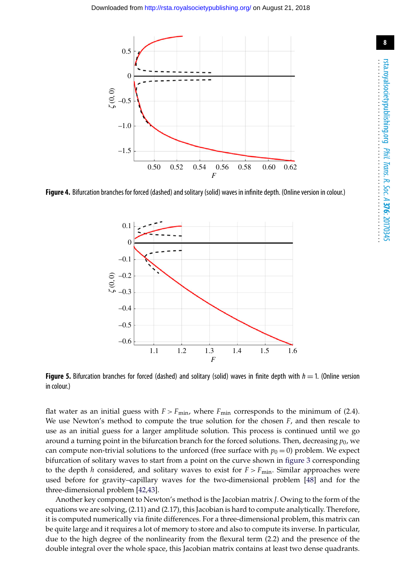

<span id="page-7-0"></span>**Figure 4.** Bifurcation branches for forced (dashed) and solitary (solid) waves in infinite depth. (Online version in colour.)



<span id="page-7-1"></span>**Figure 5.** Bifurcation branches for forced (dashed) and solitary (solid) waves in finite depth with  $h = 1$ . (Online version in colour.)

flat water as an initial guess with  $F > F_{\text{min}}$ , where  $F_{\text{min}}$  corresponds to the minimum of (2.4). We use Newton's method to compute the true solution for the chosen *F*, and then rescale to use as an initial guess for a larger amplitude solution. This process is continued until we go around a turning point in the bifurcation branch for the forced solutions. Then, decreasing  $p_0$ , we can compute non-trivial solutions to the unforced (free surface with  $p_0 = 0$ ) problem. We expect bifurcation of solitary waves to start from a point on the curve shown in [figure 3](#page-4-0) corresponding to the depth *h* considered, and solitary waves to exist for  $F > F_{min}$ . Similar approaches were used before for gravity–capillary waves for the two-dimensional problem [\[48\]](#page-13-18) and for the three-dimensional problem [\[42,](#page-13-12)[43\]](#page-13-13).

Another key component to Newton's method is the Jacobian matrix *J*. Owing to the form of the equations we are solving, (2.11) and (2.17), this Jacobian is hard to compute analytically. Therefore, it is computed numerically via finite differences. For a three-dimensional problem, this matrix can be quite large and it requires a lot of memory to store and also to compute its inverse. In particular, due to the high degree of the nonlinearity from the flexural term (2.2) and the presence of the double integral over the whole space, this Jacobian matrix contains at least two dense quadrants.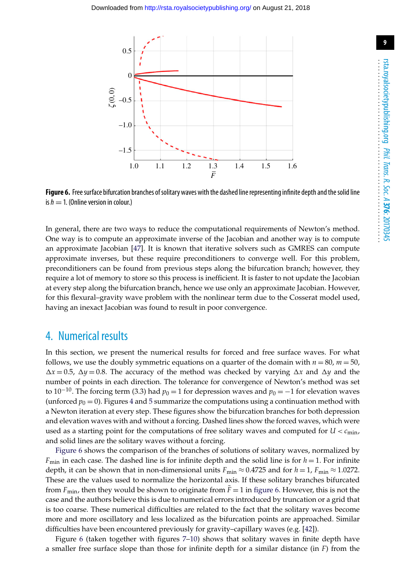

<span id="page-8-0"></span>Figure 6. Free surface bifurcation branches of solitary waves with the dashed line representing infinite depth and the solid line is  $h = 1$ . (Online version in colour.)

In general, there are two ways to reduce the computational requirements of Newton's method. One way is to compute an approximate inverse of the Jacobian and another way is to compute an approximate Jacobian [\[47\]](#page-13-17). It is known that iterative solvers such as GMRES can compute approximate inverses, but these require preconditioners to converge well. For this problem, preconditioners can be found from previous steps along the bifurcation branch; however, they require a lot of memory to store so this process is inefficient. It is faster to not update the Jacobian at every step along the bifurcation branch, hence we use only an approximate Jacobian. However, for this flexural–gravity wave problem with the nonlinear term due to the Cosserat model used, having an inexact Jacobian was found to result in poor convergence.

# 4. Numerical results

In this section, we present the numerical results for forced and free surface waves. For what follows, we use the doubly symmetric equations on a quarter of the domain with  $n = 80$ ,  $m = 50$ ,  $\Delta x = 0.5$ ,  $\Delta y = 0.8$ . The accuracy of the method was checked by varying  $\Delta x$  and  $\Delta y$  and the number of points in each direction. The tolerance for convergence of Newton's method was set to 10<sup>−10</sup>. The forcing term (3.3) had  $p_0 = 1$  for depression waves and  $p_0 = -1$  for elevation waves (unforced  $p_0 = 0$ ). Figures [4](#page-7-0) and [5](#page-7-1) summarize the computations using a continuation method with a Newton iteration at every step. These figures show the bifurcation branches for both depression and elevation waves with and without a forcing. Dashed lines show the forced waves, which were used as a starting point for the computations of free solitary waves and computed for  $U < c_{\text{min}}$ , and solid lines are the solitary waves without a forcing.

[Figure 6](#page-8-0) shows the comparison of the branches of solutions of solitary waves, normalized by  $F_{\text{min}}$  in each case. The dashed line is for infinite depth and the solid line is for  $h = 1$ . For infinite depth, it can be shown that in non-dimensional units  $F_{\text{min}} \approx 0.4725$  and for  $h = 1$ ,  $F_{\text{min}} \approx 1.0272$ . These are the values used to normalize the horizontal axis. If these solitary branches bifurcated from  $F_{\text{min}}$ , then they would be shown to originate from  $\bar{F} = 1$  in [figure 6.](#page-8-0) However, this is not the case and the authors believe this is due to numerical errors introduced by truncation or a grid that is too coarse. These numerical difficulties are related to the fact that the solitary waves become more and more oscillatory and less localized as the bifurcation points are approached. Similar difficulties have been encountered previously for gravity–capillary waves (e.g. [\[42\]](#page-13-12)).

Figure [6](#page-8-0) (taken together with figures [7](#page-9-0)[–10\)](#page-10-0) shows that solitary waves in finite depth have a smaller free surface slope than those for infinite depth for a similar distance (in *F*) from the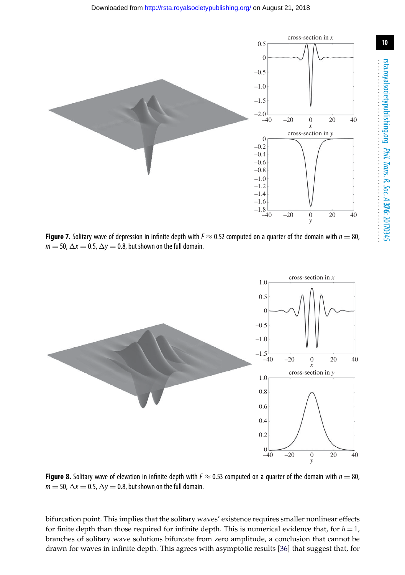

<span id="page-9-0"></span>**Figure 7.** Solitary wave of depression in infinite depth with  $F \approx 0.52$  computed on a quarter of the domain with  $n = 80$ ,  $m = 50$ ,  $\Delta x = 0.5$ ,  $\Delta y = 0.8$ , but shown on the full domain.



<span id="page-9-1"></span>**Figure 8.** Solitary wave of elevation in infinite depth with  $F \approx 0.53$  computed on a quarter of the domain with  $n = 80$ ,  $m = 50$ ,  $\Delta x = 0.5$ ,  $\Delta y = 0.8$ , but shown on the full domain.

bifurcation point. This implies that the solitary waves' existence requires smaller nonlinear effects for finite depth than those required for infinite depth. This is numerical evidence that, for  $h = 1$ , branches of solitary wave solutions bifurcate from zero amplitude, a conclusion that cannot be drawn for waves in infinite depth. This agrees with asymptotic results [\[36\]](#page-13-6) that suggest that, for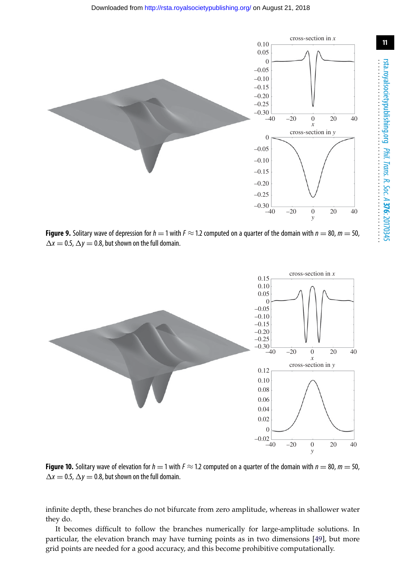

<span id="page-10-1"></span>**Figure 9.** Solitary wave of depression for  $h = 1$  with  $F \approx 1.2$  computed on a quarter of the domain with  $n = 80$ ,  $m = 50$ ,  $\Delta x = 0.5$ ,  $\Delta y = 0.8$ , but shown on the full domain.



<span id="page-10-0"></span>**Figure 10.** Solitary wave of elevation for  $h = 1$  with  $F \approx 1.2$  computed on a quarter of the domain with  $n = 80$ ,  $m = 50$ ,  $\Delta x = 0.5$ ,  $\Delta y = 0.8$ , but shown on the full domain.

infinite depth, these branches do not bifurcate from zero amplitude, whereas in shallower water they do.

It becomes difficult to follow the branches numerically for large-amplitude solutions. In particular, the elevation branch may have turning points as in two dimensions [\[49\]](#page-13-19), but more grid points are needed for a good accuracy, and this become prohibitive computationally.

.........................................................

.............................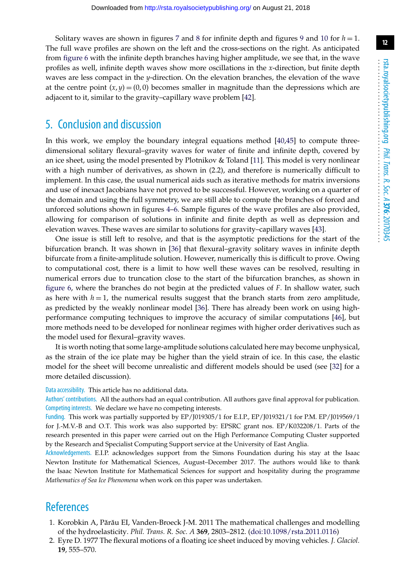Solitary waves are shown in figures [7](#page-9-0) and [8](#page-9-1) for infinite depth and figures [9](#page-10-1) and [10](#page-10-0) for  $h = 1$ . The full wave profiles are shown on the left and the cross-sections on the right. As anticipated from [figure 6](#page-8-0) with the infinite depth branches having higher amplitude, we see that, in the wave profiles as well, infinite depth waves show more oscillations in the *x*-direction, but finite depth waves are less compact in the *y*-direction. On the elevation branches, the elevation of the wave at the centre point  $(x, y) = (0, 0)$  becomes smaller in magnitude than the depressions which are adjacent to it, similar to the gravity–capillary wave problem [\[42\]](#page-13-12).

## 5. Conclusion and discussion

In this work, we employ the boundary integral equations method [\[40](#page-13-10)[,45\]](#page-13-15) to compute threedimensional solitary flexural–gravity waves for water of finite and infinite depth, covered by an ice sheet, using the model presented by Plotnikov & Toland [\[11\]](#page-12-5). This model is very nonlinear with a high number of derivatives, as shown in (2.2), and therefore is numerically difficult to implement. In this case, the usual numerical aids such as iterative methods for matrix inversions and use of inexact Jacobians have not proved to be successful. However, working on a quarter of the domain and using the full symmetry, we are still able to compute the branches of forced and unforced solutions shown in figures [4](#page-7-0)[–6.](#page-8-0) Sample figures of the wave profiles are also provided, allowing for comparison of solutions in infinite and finite depth as well as depression and elevation waves. These waves are similar to solutions for gravity–capillary waves [\[43\]](#page-13-13).

One issue is still left to resolve, and that is the asymptotic predictions for the start of the bifurcation branch. It was shown in [\[36\]](#page-13-6) that flexural–gravity solitary waves in infinite depth bifurcate from a finite-amplitude solution. However, numerically this is difficult to prove. Owing to computational cost, there is a limit to how well these waves can be resolved, resulting in numerical errors due to truncation close to the start of the bifurcation branches, as shown in [figure 6,](#page-8-0) where the branches do not begin at the predicted values of *F*. In shallow water, such as here with  $h = 1$ , the numerical results suggest that the branch starts from zero amplitude, as predicted by the weakly nonlinear model [\[36\]](#page-13-6). There has already been work on using highperformance computing techniques to improve the accuracy of similar computations [\[46\]](#page-13-16), but more methods need to be developed for nonlinear regimes with higher order derivatives such as the model used for flexural–gravity waves.

It is worth noting that some large-amplitude solutions calculated here may become unphysical, as the strain of the ice plate may be higher than the yield strain of ice. In this case, the elastic model for the sheet will become unrealistic and different models should be used (see [\[32\]](#page-13-2) for a more detailed discussion).

#### Data accessibility. This article has no additional data.

Authors' contributions. All the authors had an equal contribution. All authors gave final approval for publication. Competing interests. We declare we have no competing interests.

Funding. This work was partially supported by EP/J019305/1 for E.I.P., EP/J019321/1 for P.M. EP/J019569/1 for J.-M.V.-B and O.T. This work was also supported by: EPSRC grant nos. EP/K032208/1. Parts of the research presented in this paper were carried out on the High Performance Computing Cluster supported by the Research and Specialist Computing Support service at the University of East Anglia.

Acknowledgements. E.I.P. acknowledges support from the Simons Foundation during his stay at the Isaac Newton Institute for Mathematical Sciences, August–December 2017. The authors would like to thank the Isaac Newton Institute for Mathematical Sciences for support and hospitality during the programme *Mathematics of Sea Ice Phenomena* when work on this paper was undertaken.

# <span id="page-11-0"></span>References

- 1. Korobkin A, Părău EI, Vanden-Broeck J-M. 2011 The mathematical challenges and modelling of the hydroelasticity. *Phil. Trans. R. Soc. A* **369**, 2803–2812. [\(doi:10.1098/rsta.2011.0116\)](http://dx.doi.org/doi:10.1098/rsta.2011.0116)
- <span id="page-11-1"></span>2. Eyre D. 1977 The flexural motions of a floating ice sheet induced by moving vehicles. *J. Glaciol.* **19**, 555–570.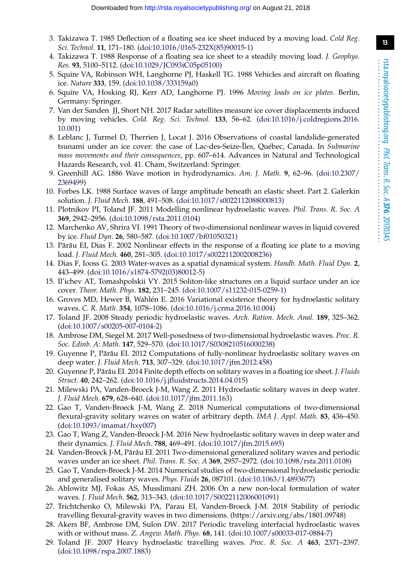- <span id="page-12-22"></span>3. Takizawa T. 1985 Deflection of a floating sea ice sheet induced by a moving load. *Cold Reg. Sci. Technol.* **11**, 171–180. [\(doi:10.1016/0165-232X\(85\)90015-1\)](http://dx.doi.org/doi:10.1016/0165-232X(85)90015-1)
- 4. Takizawa T. 1988 Response of a floating sea ice sheet to a steadily moving load. *J. Geophys. Res.* **93**, 5100–5112. [\(doi:10.1029/JC093iC05p05100\)](http://dx.doi.org/doi:10.1029/JC093iC05p05100)
- 5. Squire VA, Robinson WH, Langhorne PJ, Haskell TG. 1988 Vehicles and aircraft on floating ice. *Nature* **333**, 159. [\(doi:10.1038/333159a0\)](http://dx.doi.org/doi:10.1038/333159a0)
- <span id="page-12-0"></span>6. Squire VA, Hosking RJ, Kerr AD, Langhorne PJ. 1996 *Moving loads on ice plates*. Berlin, Germany: Springer.
- <span id="page-12-1"></span>7. Van der Sanden JJ, Short NH. 2017 Radar satellites measure ice cover displacements induced by moving vehicles. *Cold. Reg. Sci. Technol.* **133**, 56–62. [\(doi:10.1016/j.coldregions.2016.](http://dx.doi.org/doi:10.1016/j.coldregions.2016.10.001) [10.001\)](http://dx.doi.org/doi:10.1016/j.coldregions.2016.10.001)
- <span id="page-12-2"></span>8. Leblanc J, Turmel D, Therrien J, Locat J. 2016 Observations of coastal landslide-generated tsunami under an ice cover: the case of Lac-des-Seize-Îles, Québec, Canada. In *Submarine mass movements and their consequences*, pp. 607–614. Advances in Natural and Technological Hazards Research, vol. 41. Cham, Switzerland: Springer.
- <span id="page-12-3"></span>9. Greenhill AG. 1886 Wave motion in hydrodynamics. *Am. J. Math.* **9**, 62–96. [\(doi:10.2307/](http://dx.doi.org/doi:10.2307/2369499) [2369499\)](http://dx.doi.org/doi:10.2307/2369499)
- <span id="page-12-4"></span>10. Forbes LK. 1988 Surface waves of large amplitude beneath an elastic sheet. Part 2. Galerkin solution. *J. Fluid Mech.* **188**, 491–508. [\(doi:10.1017/s0022112088000813\)](http://dx.doi.org/doi:10.1017/s0022112088000813)
- <span id="page-12-5"></span>11. Plotnikov PI, Toland JF. 2011 Modelling nonlinear hydroelastic waves. *Phil. Trans. R. Soc. A* **369**, 2942–2956. [\(doi:10.1098/rsta.2011.0104\)](http://dx.doi.org/doi:10.1098/rsta.2011.0104)
- <span id="page-12-6"></span>12. Marchenko AV, Shrira VI. 1991 Theory of two-dimensional nonlinear waves in liquid covered by ice. *Fluid Dyn.* **26**, 580–587. [\(doi:10.1007/bf01050321\)](http://dx.doi.org/doi:10.1007/bf01050321)
- <span id="page-12-7"></span>13. Părău EI, Dias F. 2002 Nonlinear effects in the response of a floating ice plate to a moving load. *J. Fluid Mech.* **460**, 281–305. [\(doi:10.1017/s0022112002008236\)](http://dx.doi.org/doi:10.1017/s0022112002008236)
- <span id="page-12-8"></span>14. Dias F, Iooss G. 2003 Water-waves as a spatial dynamical system. *Handb. Math. Fluid Dyn.* **2**, 443–499. [\(doi:10.1016/s1874-5792\(03\)80012-5\)](http://dx.doi.org/doi:10.1016/s1874-5792(03)80012-5)
- <span id="page-12-9"></span>15. Il'ichev AT, Tomashpolskii VY. 2015 Soliton-like structures on a liquid surface under an ice cover. *Theor. Math. Phys.* **182**, 231–245. [\(doi:10.1007/s11232-015-0259-1\)](http://dx.doi.org/doi:10.1007/s11232-015-0259-1)
- <span id="page-12-10"></span>16. Groves MD, Hewer B, Wahlén E. 2016 Variational existence theory for hydroelastic solitary waves. *C. R. Math.* **354**, 1078–1086. [\(doi:10.1016/j.crma.2016.10.004\)](http://dx.doi.org/doi:10.1016/j.crma.2016.10.004)
- <span id="page-12-11"></span>17. Toland JF. 2008 Steady periodic hydroelastic waves. *Arch. Ration. Mech. Anal.* **189**, 325–362. [\(doi:10.1007/s00205-007-0104-2\)](http://dx.doi.org/doi:10.1007/s00205-007-0104-2)
- <span id="page-12-12"></span>18. Ambrose DM, Siegel M. 2017 Well-posedness of two-dimensional hydroelastic waves. *Proc. R. Soc. Edinb. A: Math.* **147**, 529–570. [\(doi:10.1017/S0308210516000238\)](http://dx.doi.org/doi:10.1017/S0308210516000238)
- <span id="page-12-13"></span>19. Guyenne P, Părău EI. 2012 Computations of fully-nonlinear hydroelastic solitary waves on deep water. *J. Fluid Mech.* **713**, 307–329. [\(doi:10.1017/jfm.2012.458\)](http://dx.doi.org/doi:10.1017/jfm.2012.458)
- <span id="page-12-14"></span>20. Guyenne P, Părău EI. 2014 Finite depth effects on solitary waves in a floating ice sheet. *J. Fluids Struct.* **40**, 242–262. [\(doi:10.1016/j.jfluidstructs.2014.04.015\)](http://dx.doi.org/doi:10.1016/j.jfluidstructs.2014.04.015)
- <span id="page-12-15"></span>21. Milewski PA, Vanden-Broeck J-M, Wang Z. 2011 Hydroelastic solitary waves in deep water. *J. Fluid Mech.* **679**, 628–640. [\(doi:10.1017/jfm.2011.163\)](http://dx.doi.org/doi:10.1017/jfm.2011.163)
- 22. Gao T, Vanden-Broeck J-M, Wang Z. 2018 Numerical computations of two-dimensional flexural-gravity solitary waves on water of arbitrary depth. *IMA J. Appl. Math.* **83**, 436–450. [\(doi:10.1093/imamat/hxy007\)](http://dx.doi.org/doi:10.1093/imamat/hxy007)
- <span id="page-12-16"></span>23. Gao T, Wang Z, Vanden-Broeck J-M. 2016 New hydroelastic solitary waves in deep water and their dynamics. *J. Fluid Mech.* **788**, 469–491. [\(doi:10.1017/jfm.2015.695\)](http://dx.doi.org/doi:10.1017/jfm.2015.695)
- <span id="page-12-17"></span>24. Vanden-Broeck J-M, Părău EI. 2011 Two-dimensional generalized solitary waves and periodic waves under an ice sheet. *Phil. Trans. R. Soc. A* **369**, 2957–2972. [\(doi:10.1098/rsta.2011.0108\)](http://dx.doi.org/doi:10.1098/rsta.2011.0108)
- <span id="page-12-18"></span>25. Gao T, Vanden-Broeck J-M. 2014 Numerical studies of two-dimensional hydroelastic periodic and generalised solitary waves. *Phys. Fluids* **26**, 087101. [\(doi:10.1063/1.4893677\)](http://dx.doi.org/doi:10.1063/1.4893677)
- <span id="page-12-19"></span>26. Ablowitz MJ, Fokas AS, Musslimani ZH. 2006 On a new non-local formulation of water waves. *J. Fluid Mech.* **562**, 313–343. [\(doi:10.1017/S0022112006001091\)](http://dx.doi.org/doi:10.1017/S0022112006001091)
- <span id="page-12-20"></span>27. Trichtchenko O, Milewski PA, Parau EI, Vanden-Broeck J-M. 2018 Stability of periodic travelling flexural-gravity waves in two dimensions. (https://arxiv.org/abs/1801.09748)
- <span id="page-12-21"></span>28. Akers BF, Ambrose DM, Sulon DW. 2017 Periodic traveling interfacial hydroelastic waves with or without mass. *Z. Angew. Math. Phys.* **68**, 141. [\(doi:10.1007/s00033-017-0884-7\)](http://dx.doi.org/doi:10.1007/s00033-017-0884-7)
- 29. Toland JF. 2007 Heavy hydroelastic travelling waves. *Proc. R. Soc. A* **463**, 2371–2397. [\(doi:10.1098/rspa.2007.1883\)](http://dx.doi.org/doi:10.1098/rspa.2007.1883)